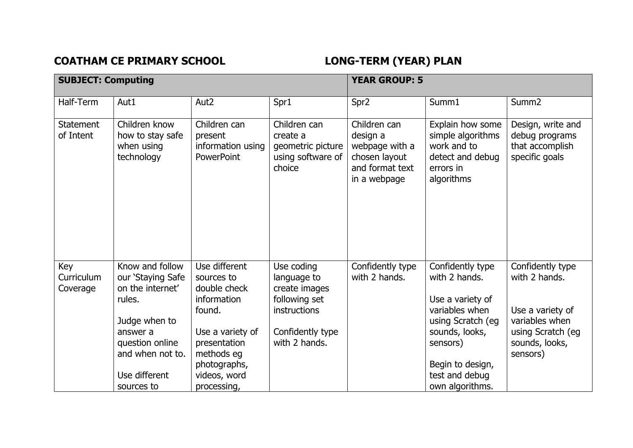## COATHAM CE PRIMARY SCHOOL **LONG-TERM** (YEAR) PLAN

| <b>SUBJECT: Computing</b>     |                                                                                                                                                                       |                                                                                                                                                                       | <b>YEAR GROUP: 5</b>                                                                                             |                                                                                                |                                                                                                                                                                                     |                                                                                                                            |
|-------------------------------|-----------------------------------------------------------------------------------------------------------------------------------------------------------------------|-----------------------------------------------------------------------------------------------------------------------------------------------------------------------|------------------------------------------------------------------------------------------------------------------|------------------------------------------------------------------------------------------------|-------------------------------------------------------------------------------------------------------------------------------------------------------------------------------------|----------------------------------------------------------------------------------------------------------------------------|
| Half-Term                     | Aut1                                                                                                                                                                  | Aut <sub>2</sub>                                                                                                                                                      | Spr1                                                                                                             | Spr <sub>2</sub>                                                                               | Summ1                                                                                                                                                                               | Summ <sub>2</sub>                                                                                                          |
| <b>Statement</b><br>of Intent | Children know<br>how to stay safe<br>when using<br>technology                                                                                                         | Children can<br>present<br>information using<br><b>PowerPoint</b>                                                                                                     | Children can<br>create a<br>geometric picture<br>using software of<br>choice                                     | Children can<br>design a<br>webpage with a<br>chosen layout<br>and format text<br>in a webpage | Explain how some<br>simple algorithms<br>work and to<br>detect and debug<br>errors in<br>algorithms                                                                                 | Design, write and<br>debug programs<br>that accomplish<br>specific goals                                                   |
| Key<br>Curriculum<br>Coverage | Know and follow<br>our 'Staying Safe<br>on the internet'<br>rules.<br>Judge when to<br>answer a<br>question online<br>and when not to.<br>Use different<br>sources to | Use different<br>sources to<br>double check<br>information<br>found.<br>Use a variety of<br>presentation<br>methods eg<br>photographs,<br>videos, word<br>processing, | Use coding<br>language to<br>create images<br>following set<br>instructions<br>Confidently type<br>with 2 hands. | Confidently type<br>with 2 hands.                                                              | Confidently type<br>with 2 hands.<br>Use a variety of<br>variables when<br>using Scratch (eg<br>sounds, looks,<br>sensors)<br>Begin to design,<br>test and debug<br>own algorithms. | Confidently type<br>with 2 hands.<br>Use a variety of<br>variables when<br>using Scratch (eg<br>sounds, looks,<br>sensors) |